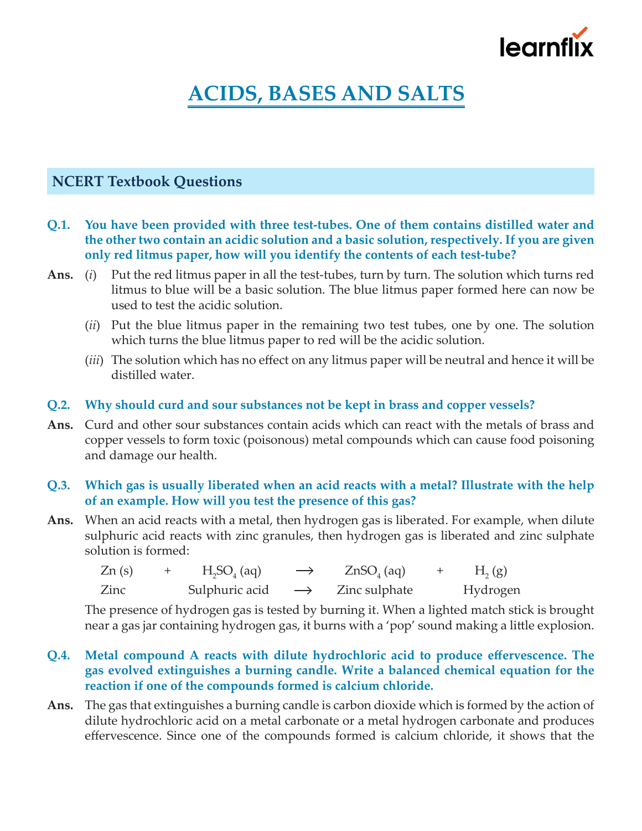

# **ACIDS, BASES AND SALTS**

### **NCERT Textbook Questions**

- **Q.1. You have been provided with three test-tubes. One of them contains distilled water and the other two contain an acidic solution and a basic solution, respectively. If you are given only red litmus paper, how will you identify the contents of each test-tube?**
- **Ans.** (*i*) Put the red litmus paper in all the test-tubes, turn by turn. The solution which turns red litmus to blue will be a basic solution. The blue litmus paper formed here can now be used to test the acidic solution.
	- (*ii*) Put the blue litmus paper in the remaining two test tubes, one by one. The solution which turns the blue litmus paper to red will be the acidic solution.
	- (*iii*) The solution which has no effect on any litmus paper will be neutral and hence it will be distilled water.

### **Q.2. Why should curd and sour substances not be kept in brass and copper vessels?**

**Ans.** Curd and other sour substances contain acids which can react with the metals of brass and copper vessels to form toxic (poisonous) metal compounds which can cause food poisoning and damage our health.

### **Q.3. Which gas is usually liberated when an acid reacts with a metal? Illustrate with the help of an example. How will you test the presence of this gas?**

**Ans.** When an acid reacts with a metal, then hydrogen gas is liberated. For example, when dilute sulphuric acid reacts with zinc granules, then hydrogen gas is liberated and zinc sulphate solution is formed:

| Zn(s) | $H2SO4$ (aq)   | $\longrightarrow$ | $ZnSO_{4}$ (aq) | $H_2(g)$ |
|-------|----------------|-------------------|-----------------|----------|
| Zinc  | Sulphuric acid | $\longrightarrow$ | Zinc sulphate   | Hydrogen |

 The presence of hydrogen gas is tested by burning it. When a lighted match stick is brought near a gas jar containing hydrogen gas, it burns with a 'pop' sound making a little explosion.

- **Q.4. Metal compound A reacts with dilute hydrochloric acid to produce effervescence. The gas evolved extinguishes a burning candle. Write a balanced chemical equation for the reaction if one of the compounds formed is calcium chloride.**
- **Ans.** The gas that extinguishes a burning candle is carbon dioxide which is formed by the action of dilute hydrochloric acid on a metal carbonate or a metal hydrogen carbonate and produces effervescence. Since one of the compounds formed is calcium chloride, it shows that the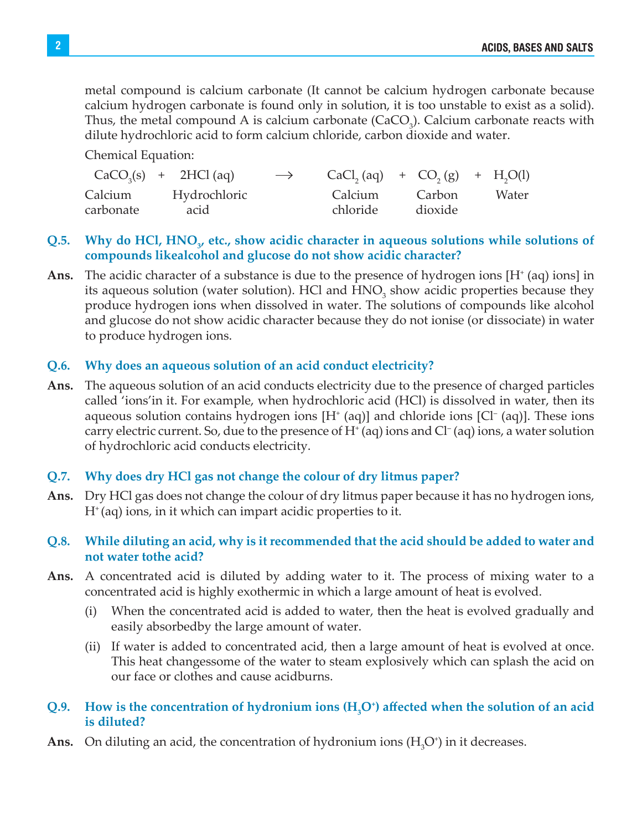metal compound is calcium carbonate (It cannot be calcium hydrogen carbonate because calcium hydrogen carbonate is found only in solution, it is too unstable to exist as a solid). Thus, the metal compound A is calcium carbonate  $(CaCO<sub>3</sub>)$ . Calcium carbonate reacts with dilute hydrochloric acid to form calcium chloride, carbon dioxide and water.

Chemical Equation:

|                      | $CaCO3(s) + 2HCl (aq)$ | $\longrightarrow$ |                     | $CaCl2(aq) + CO2(g) + H2O(l)$ |       |
|----------------------|------------------------|-------------------|---------------------|-------------------------------|-------|
| Calcium<br>carbonate | Hydrochloric<br>acid   |                   | Calcium<br>chloride | Carbon<br>dioxide             | Water |

### Q.5. Why do HCl, HNO<sub>3</sub>, etc., show acidic character in aqueous solutions while solutions of **compounds likealcohol and glucose do not show acidic character?**

Ans. The acidic character of a substance is due to the presence of hydrogen ions  $[H^+(aq) \text{ ions}]$  in its aqueous solution (water solution). HCl and  $HNO<sub>3</sub>$  show acidic properties because they produce hydrogen ions when dissolved in water. The solutions of compounds like alcohol and glucose do not show acidic character because they do not ionise (or dissociate) in water to produce hydrogen ions.

### **Q.6. Why does an aqueous solution of an acid conduct electricity?**

**Ans.** The aqueous solution of an acid conducts electricity due to the presence of charged particles called 'ions'in it. For example, when hydrochloric acid (HCl) is dissolved in water, then its aqueous solution contains hydrogen ions  $[H^+(aq)]$  and chloride ions  $[Cl^-(aq)]$ . These ions carry electric current. So, due to the presence of  $H<sup>+</sup>$  (aq) ions and  $Cl<sup>-</sup>$  (aq) ions, a water solution of hydrochloric acid conducts electricity.

### **Q.7. Why does dry HCl gas not change the colour of dry litmus paper?**

- **Ans.** Dry HCl gas does not change the colour of dry litmus paper because it has no hydrogen ions,  $H^*(aq)$  ions, in it which can impart acidic properties to it.
- **Q.8. While diluting an acid, why is it recommended that the acid should be added to water and not water tothe acid?**
- **Ans.** A concentrated acid is diluted by adding water to it. The process of mixing water to a concentrated acid is highly exothermic in which a large amount of heat is evolved.
	- (i) When the concentrated acid is added to water, then the heat is evolved gradually and easily absorbedby the large amount of water.
	- (ii) If water is added to concentrated acid, then a large amount of heat is evolved at once. This heat changessome of the water to steam explosively which can splash the acid on our face or clothes and cause acidburns.

### **Q.9. How is the concentration of hydronium ions (H3 O+ ) affected when the solution of an acid is diluted?**

**Ans.** On diluting an acid, the concentration of hydronium ions  $(H_3O^+)$  in it decreases.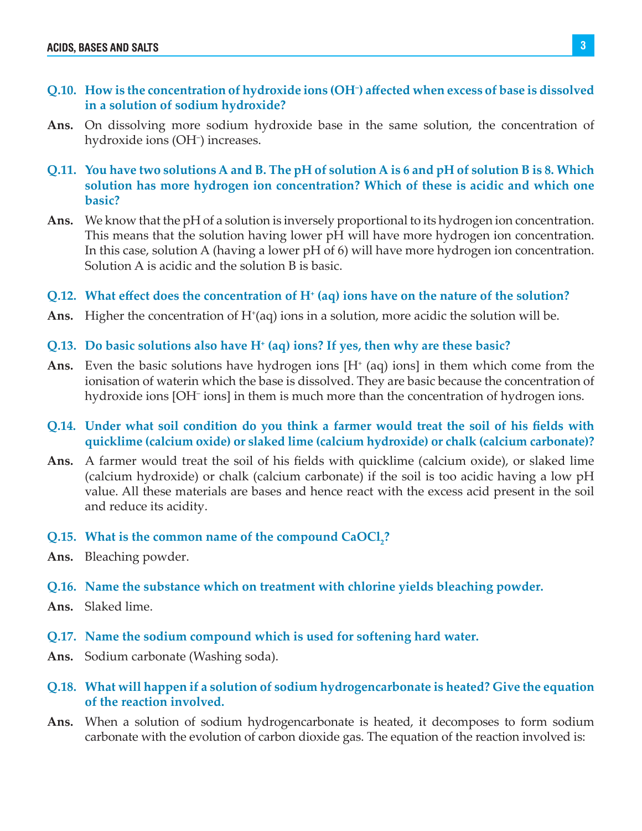- **Q.10. How is the concentration of hydroxide ions (OH– ) affected when excess of base is dissolved in a solution of sodium hydroxide?**
- **Ans.** On dissolving more sodium hydroxide base in the same solution, the concentration of hydroxide ions (OH– ) increases.
- **Q.11. You have two solutions A and B. The pH of solution A is 6 and pH of solution B is 8. Which solution has more hydrogen ion concentration? Which of these is acidic and which one basic?**
- **Ans.** We know that the pH of a solution is inversely proportional to its hydrogen ion concentration. This means that the solution having lower pH will have more hydrogen ion concentration. In this case, solution A (having a lower pH of 6) will have more hydrogen ion concentration. Solution A is acidic and the solution B is basic.
- **Q.12. What effect does the concentration of H<sup>+</sup> (aq) ions have on the nature of the solution?**
- Ans. Higher the concentration of H<sup>+</sup>(aq) ions in a solution, more acidic the solution will be.
- **Q.13. Do basic solutions also have H+ (aq) ions? If yes, then why are these basic?**
- Ans. Even the basic solutions have hydrogen ions  $[H<sup>+</sup>(aq)$  ions] in them which come from the ionisation of waterin which the base is dissolved. They are basic because the concentration of hydroxide ions [OH<sup>-</sup> ions] in them is much more than the concentration of hydrogen ions.
- **Q.14. Under what soil condition do you think a farmer would treat the soil of his fields with quicklime (calcium oxide) or slaked lime (calcium hydroxide) or chalk (calcium carbonate)?**
- **Ans.** A farmer would treat the soil of his fields with quicklime (calcium oxide), or slaked lime (calcium hydroxide) or chalk (calcium carbonate) if the soil is too acidic having a low pH value. All these materials are bases and hence react with the excess acid present in the soil and reduce its acidity.
- Q.15. What is the common name of the compound CaOCl<sub>2</sub>?
- **Ans.** Bleaching powder.
- **Q.16. Name the substance which on treatment with chlorine yields bleaching powder.**
- **Ans.** Slaked lime.
- **Q.17. Name the sodium compound which is used for softening hard water.**
- **Ans.** Sodium carbonate (Washing soda).
- **Q.18. What will happen if a solution of sodium hydrogencarbonate is heated? Give the equation of the reaction involved.**
- **Ans.** When a solution of sodium hydrogencarbonate is heated, it decomposes to form sodium carbonate with the evolution of carbon dioxide gas. The equation of the reaction involved is: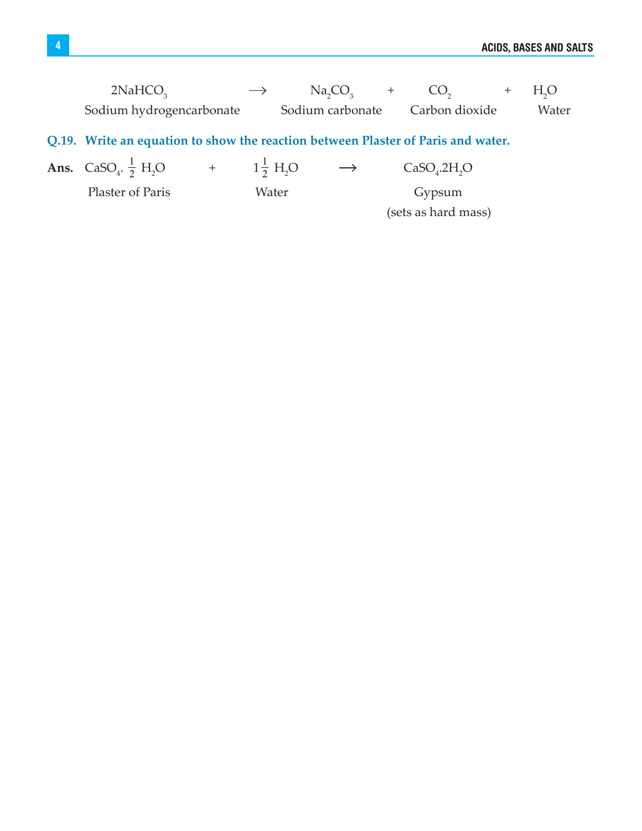| 2NAHCO <sub>2</sub>      | $\longrightarrow$ | Na, CO,          |                | $+$ H <sub>2</sub> O |
|--------------------------|-------------------|------------------|----------------|----------------------|
| Sodium hydrogencarbonate |                   | Sodium carbonate | Carbon dioxide | Water                |

## **Q.19. Write an equation to show the reaction between Plaster of Paris and water.**

| <b>Ans.</b> CaSO <sub>4</sub> . $\frac{1}{2}$ H <sub>2</sub> O | $1\frac{1}{2}$ H <sub>2</sub> O | $\longrightarrow$ | CaSO <sub>4</sub> .2H <sub>2</sub> O |  |
|----------------------------------------------------------------|---------------------------------|-------------------|--------------------------------------|--|
| Plaster of Paris                                               | Water                           |                   | Gypsum<br>(sets as hard mass)        |  |
|                                                                |                                 |                   |                                      |  |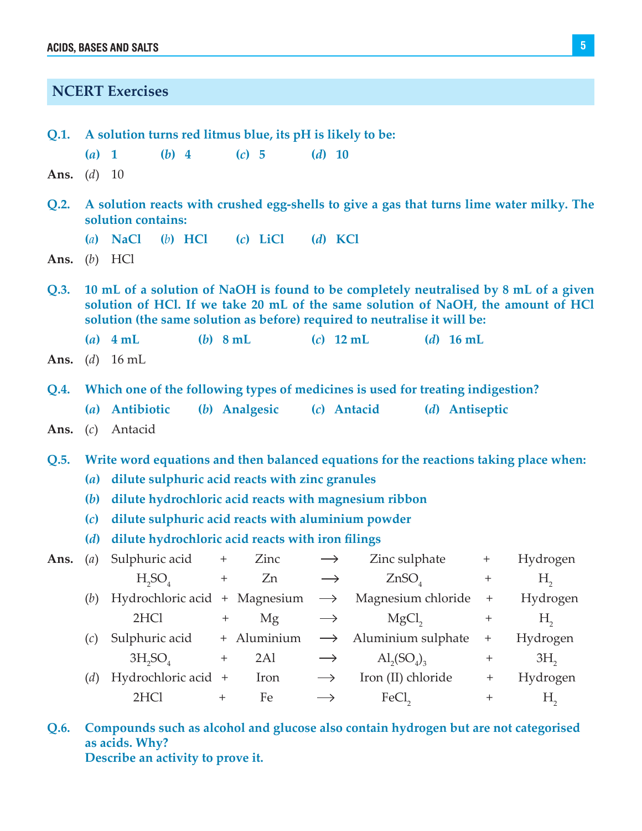**NCERT Exercises**

|                             | Q.1. A solution turns red litmus blue, its pH is likely to be:                                                                                                                                                                                         |                                                                                       |  |                   |               |                   |             |                                                      |                    |                   |                                                                                          |
|-----------------------------|--------------------------------------------------------------------------------------------------------------------------------------------------------------------------------------------------------------------------------------------------------|---------------------------------------------------------------------------------------|--|-------------------|---------------|-------------------|-------------|------------------------------------------------------|--------------------|-------------------|------------------------------------------------------------------------------------------|
|                             | $(a)$ 1                                                                                                                                                                                                                                                | $(b)$ 4                                                                               |  |                   | $(c)$ 5       | $(d)$ 10          |             |                                                      |                    |                   |                                                                                          |
| <b>Ans.</b> ( <i>d</i> ) 10 |                                                                                                                                                                                                                                                        |                                                                                       |  |                   |               |                   |             |                                                      |                    |                   |                                                                                          |
| Q.2.                        |                                                                                                                                                                                                                                                        | solution contains:                                                                    |  |                   |               |                   |             |                                                      |                    |                   | A solution reacts with crushed egg-shells to give a gas that turns lime water milky. The |
|                             |                                                                                                                                                                                                                                                        | $(a)$ NaCl<br>$(b)$ HCl                                                               |  |                   | $(c)$ LiCl    |                   | $(d)$ KCl   |                                                      |                    |                   |                                                                                          |
| Ans.                        |                                                                                                                                                                                                                                                        | $(b)$ HCl                                                                             |  |                   |               |                   |             |                                                      |                    |                   |                                                                                          |
| Q.3.                        | 10 mL of a solution of NaOH is found to be completely neutralised by 8 mL of a given<br>solution of HCl. If we take 20 mL of the same solution of NaOH, the amount of HCl<br>solution (the same solution as before) required to neutralise it will be: |                                                                                       |  |                   |               |                   |             |                                                      |                    |                   |                                                                                          |
|                             |                                                                                                                                                                                                                                                        | $(a)$ 4 mL                                                                            |  | $(b)$ 8 mL        |               |                   | $(c)$ 12 mL |                                                      | ( <i>d</i> ) 16 mL |                   |                                                                                          |
| Ans.                        |                                                                                                                                                                                                                                                        | ( <i>d</i> ) 16 mL                                                                    |  |                   |               |                   |             |                                                      |                    |                   |                                                                                          |
| Q.4.                        |                                                                                                                                                                                                                                                        | Which one of the following types of medicines is used for treating indigestion?       |  |                   |               |                   |             |                                                      |                    |                   |                                                                                          |
|                             |                                                                                                                                                                                                                                                        | (a) Antibiotic                                                                        |  |                   | (b) Analgesic |                   | (c) Antacid |                                                      | (d) Antiseptic     |                   |                                                                                          |
|                             |                                                                                                                                                                                                                                                        | Ans. (c) Antacid                                                                      |  |                   |               |                   |             |                                                      |                    |                   |                                                                                          |
| Q.5.                        |                                                                                                                                                                                                                                                        | Write word equations and then balanced equations for the reactions taking place when: |  |                   |               |                   |             |                                                      |                    |                   |                                                                                          |
|                             | (a)                                                                                                                                                                                                                                                    | dilute sulphuric acid reacts with zinc granules                                       |  |                   |               |                   |             |                                                      |                    |                   |                                                                                          |
|                             | <b>(b)</b>                                                                                                                                                                                                                                             | dilute hydrochloric acid reacts with magnesium ribbon                                 |  |                   |               |                   |             |                                                      |                    |                   |                                                                                          |
|                             | (c)                                                                                                                                                                                                                                                    | dilute sulphuric acid reacts with aluminium powder                                    |  |                   |               |                   |             |                                                      |                    |                   |                                                                                          |
|                             | (d)                                                                                                                                                                                                                                                    | dilute hydrochloric acid reacts with iron filings                                     |  |                   |               |                   |             |                                                      |                    |                   |                                                                                          |
| Ans.                        | (a)                                                                                                                                                                                                                                                    | Sulphuric acid $+$ Zinc $\longrightarrow$                                             |  |                   |               |                   |             | $\sum$ inc sulphate $+$                              |                    |                   | Hydrogen                                                                                 |
|                             |                                                                                                                                                                                                                                                        |                                                                                       |  |                   |               |                   |             | $H_2SO_4$ + Zn $\longrightarrow$ ZnSO <sub>4</sub> + |                    |                   | $H_{2}$                                                                                  |
|                             |                                                                                                                                                                                                                                                        | (b) Hydrochloric acid + Magnesium $\rightarrow$ Magnesium chloride + Hydrogen         |  |                   |               |                   |             |                                                      |                    |                   |                                                                                          |
|                             |                                                                                                                                                                                                                                                        | 2HCl                                                                                  |  | $\qquad \qquad +$ | Mg            | $\longrightarrow$ |             | $MgCl$ <sub>2</sub>                                  |                    | $^{+}$            | $H_{2}$                                                                                  |
|                             | (c)                                                                                                                                                                                                                                                    | Sulphuric acid                                                                        |  |                   | + Aluminium   | $\longrightarrow$ |             | Aluminium sulphate                                   |                    | $^{+}$            | Hydrogen                                                                                 |
|                             |                                                                                                                                                                                                                                                        | $3H_2SO_4$                                                                            |  | $^+$              | 2Al           |                   |             | $\mathrm{Al}_2(S\mathrm{O}_4)_{3}$                   |                    | $\qquad \qquad +$ | 3H <sub>2</sub>                                                                          |
|                             | (d)                                                                                                                                                                                                                                                    | Hydrochloric acid +                                                                   |  |                   | Iron          | $\rightarrow$     |             | Iron (II) chloride                                   |                    | $^+$              | Hydrogen                                                                                 |
|                             |                                                                                                                                                                                                                                                        | 2HCl                                                                                  |  | $^{+}$            | Fe            |                   |             | FeCl <sub>2</sub>                                    |                    | $\ddot{}$         | $H_{2}$                                                                                  |

**Q.6. Compounds such as alcohol and glucose also contain hydrogen but are not categorised as acids. Why? Describe an activity to prove it.**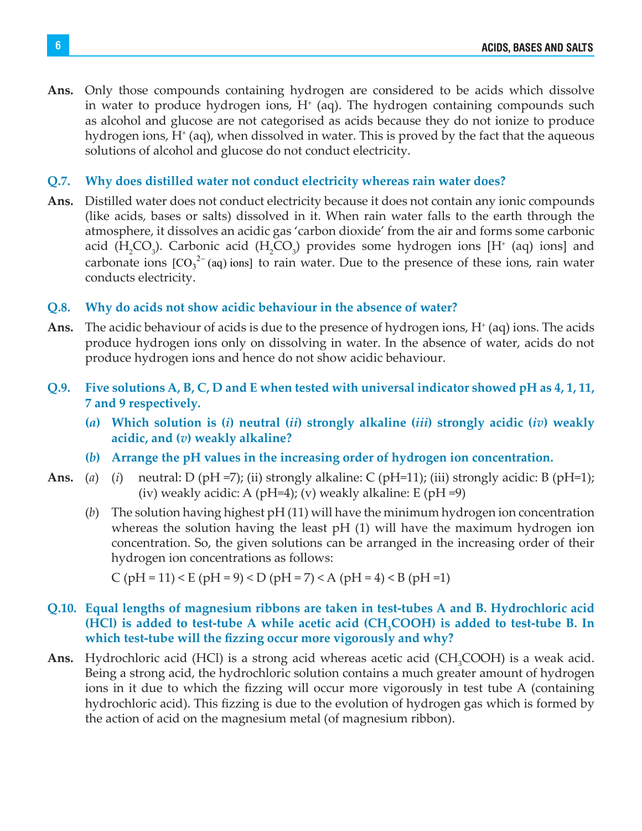**Ans.** Only those compounds containing hydrogen are considered to be acids which dissolve in water to produce hydrogen ions,  $H<sup>+</sup>$  (aq). The hydrogen containing compounds such as alcohol and glucose are not categorised as acids because they do not ionize to produce hydrogen ions, H<sup>+</sup> (aq), when dissolved in water. This is proved by the fact that the aqueous solutions of alcohol and glucose do not conduct electricity.

### **Q.7. Why does distilled water not conduct electricity whereas rain water does?**

**Ans.** Distilled water does not conduct electricity because it does not contain any ionic compounds (like acids, bases or salts) dissolved in it. When rain water falls to the earth through the atmosphere, it dissolves an acidic gas 'carbon dioxide' from the air and forms some carbonic acid  $(H_2CO_3)$ . Carbonic acid  $(H_2CO_3)$  provides some hydrogen ions  $[H^{\dagger}$  (aq) ions] and carbonate ions  $[CO<sub>3</sub><sup>2-</sup>(aq)$  ions] to rain water. Due to the presence of these ions, rain water conducts electricity.

### **Q.8. Why do acids not show acidic behaviour in the absence of water?**

- Ans. The acidic behaviour of acids is due to the presence of hydrogen ions, H<sup>+</sup> (aq) ions. The acids produce hydrogen ions only on dissolving in water. In the absence of water, acids do not produce hydrogen ions and hence do not show acidic behaviour.
- **Q.9. Five solutions A, B, C, D and E when tested with universal indicator showed pH as 4, 1, 11, 7 and 9 respectively.** 
	- **(***a***) Which solution is (***i***) neutral (***ii***) strongly alkaline (***iii***) strongly acidic (***iv***) weakly acidic, and (***v***) weakly alkaline?**
	- **(***b***) Arrange the pH values in the increasing order of hydrogen ion concentration.**
- **Ans.** (*a*) (*i*) neutral: D (pH =7); (ii) strongly alkaline: C (pH=11); (iii) strongly acidic: B (pH=1); (iv) weakly acidic: A (pH=4); (v) weakly alkaline: E (pH =9)
	- (*b*) The solution having highest pH (11) will have the minimum hydrogen ion concentration whereas the solution having the least pH (1) will have the maximum hydrogen ion concentration. So, the given solutions can be arranged in the increasing order of their hydrogen ion concentrations as follows:

C (pH = 11) < E (pH = 9) < D (pH = 7) < A (pH = 4) < B (pH = 1)

### **Q.10. Equal lengths of magnesium ribbons are taken in test-tubes A and B. Hydrochloric acid**  (HCl) is added to test-tube A while acetic acid (CH<sub>3</sub>COOH) is added to test-tube B. In **which test-tube will the fizzing occur more vigorously and why?**

Ans. Hydrochloric acid (HCl) is a strong acid whereas acetic acid (CH<sub>3</sub>COOH) is a weak acid. Being a strong acid, the hydrochloric solution contains a much greater amount of hydrogen ions in it due to which the fizzing will occur more vigorously in test tube A (containing hydrochloric acid). This fizzing is due to the evolution of hydrogen gas which is formed by the action of acid on the magnesium metal (of magnesium ribbon).